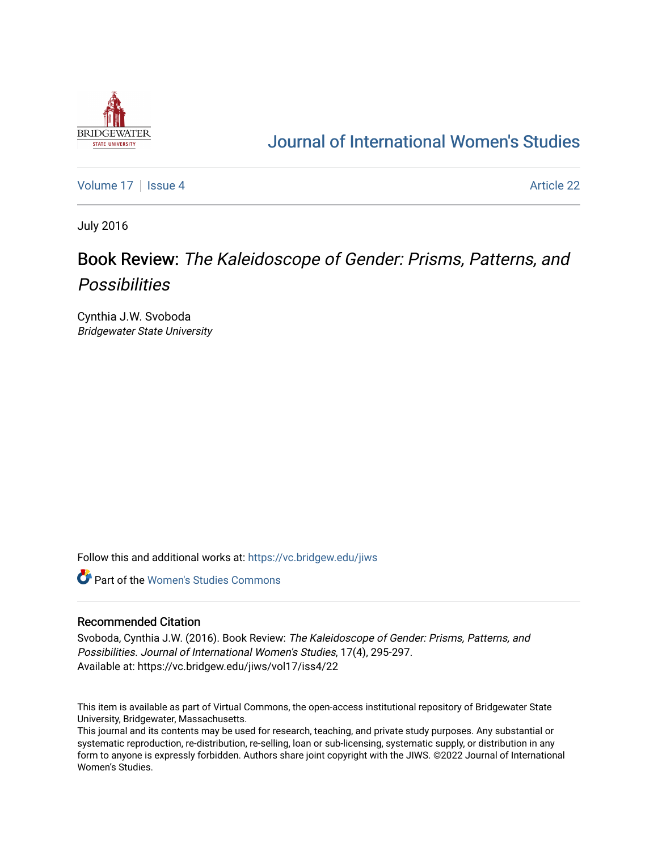

# [Journal of International Women's Studies](https://vc.bridgew.edu/jiws)

[Volume 17](https://vc.bridgew.edu/jiws/vol17) | [Issue 4](https://vc.bridgew.edu/jiws/vol17/iss4) Article 22

July 2016

# Book Review: The Kaleidoscope of Gender: Prisms, Patterns, and **Possibilities**

Cynthia J.W. Svoboda Bridgewater State University

Follow this and additional works at: [https://vc.bridgew.edu/jiws](https://vc.bridgew.edu/jiws?utm_source=vc.bridgew.edu%2Fjiws%2Fvol17%2Fiss4%2F22&utm_medium=PDF&utm_campaign=PDFCoverPages)

**C** Part of the Women's Studies Commons

### Recommended Citation

Svoboda, Cynthia J.W. (2016). Book Review: The Kaleidoscope of Gender: Prisms, Patterns, and Possibilities. Journal of International Women's Studies, 17(4), 295-297. Available at: https://vc.bridgew.edu/jiws/vol17/iss4/22

This item is available as part of Virtual Commons, the open-access institutional repository of Bridgewater State University, Bridgewater, Massachusetts.

This journal and its contents may be used for research, teaching, and private study purposes. Any substantial or systematic reproduction, re-distribution, re-selling, loan or sub-licensing, systematic supply, or distribution in any form to anyone is expressly forbidden. Authors share joint copyright with the JIWS. ©2022 Journal of International Women's Studies.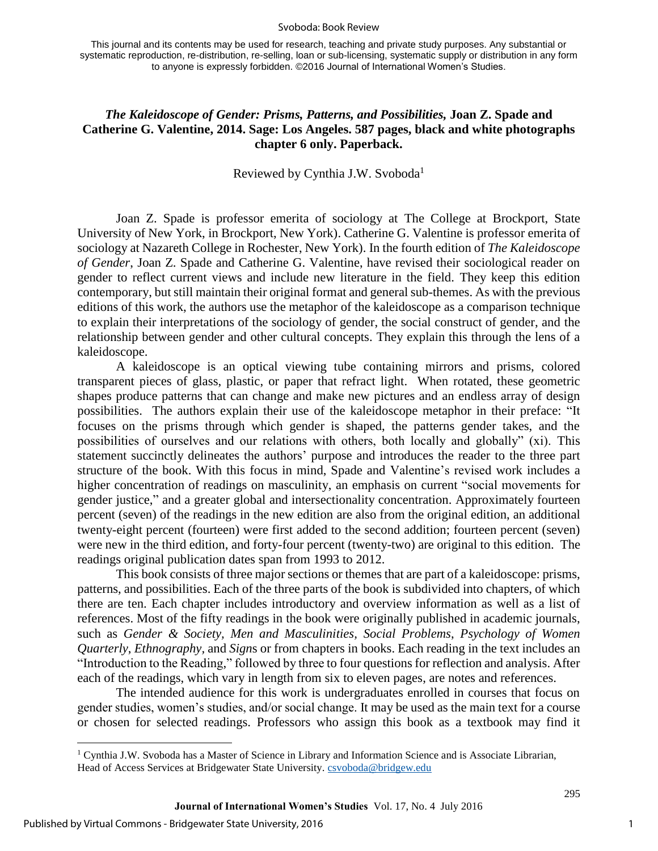#### Svoboda: Book Review

This journal and its contents may be used for research, teaching and private study purposes. Any substantial or systematic reproduction, re-distribution, re-selling, loan or sub-licensing, systematic supply or distribution in any form to anyone is expressly forbidden. ©2016 Journal of International Women's Studies.

## *The Kaleidoscope of Gender: Prisms, Patterns, and Possibilities,* **Joan Z. Spade and Catherine G. Valentine, 2014. Sage: Los Angeles. 587 pages, black and white photographs chapter 6 only. Paperback.**

### Reviewed by Cynthia J.W. Svoboda<sup>1</sup>

Joan Z. Spade is professor emerita of sociology at The College at Brockport, State University of New York, in Brockport, New York). Catherine G. Valentine is professor emerita of sociology at Nazareth College in Rochester, New York). In the fourth edition of *The Kaleidoscope of Gender*, Joan Z. Spade and Catherine G. Valentine, have revised their sociological reader on gender to reflect current views and include new literature in the field. They keep this edition contemporary, but still maintain their original format and general sub-themes. As with the previous editions of this work, the authors use the metaphor of the kaleidoscope as a comparison technique to explain their interpretations of the sociology of gender, the social construct of gender, and the relationship between gender and other cultural concepts. They explain this through the lens of a kaleidoscope.

A kaleidoscope is an optical viewing tube containing mirrors and prisms, colored transparent pieces of glass, plastic, or paper that refract light. When rotated, these geometric shapes produce patterns that can change and make new pictures and an endless array of design possibilities. The authors explain their use of the kaleidoscope metaphor in their preface: "It focuses on the prisms through which gender is shaped, the patterns gender takes, and the possibilities of ourselves and our relations with others, both locally and globally" (xi). This statement succinctly delineates the authors' purpose and introduces the reader to the three part structure of the book. With this focus in mind, Spade and Valentine's revised work includes a higher concentration of readings on masculinity, an emphasis on current "social movements for gender justice," and a greater global and intersectionality concentration. Approximately fourteen percent (seven) of the readings in the new edition are also from the original edition, an additional twenty-eight percent (fourteen) were first added to the second addition; fourteen percent (seven) were new in the third edition, and forty-four percent (twenty-two) are original to this edition. The readings original publication dates span from 1993 to 2012.

This book consists of three major sections or themes that are part of a kaleidoscope: prisms, patterns, and possibilities. Each of the three parts of the book is subdivided into chapters, of which there are ten. Each chapter includes introductory and overview information as well as a list of references. Most of the fifty readings in the book were originally published in academic journals, such as *Gender & Society, Men and Masculinities, Social Problems*, *Psychology of Women Quarterly*, *Ethnography,* and *Sign*s or from chapters in books. Each reading in the text includes an "Introduction to the Reading," followed by three to four questions for reflection and analysis. After each of the readings, which vary in length from six to eleven pages, are notes and references.

 The intended audience for this work is undergraduates enrolled in courses that focus on gender studies, women's studies, and/or social change. It may be used as the main text for a course or chosen for selected readings. Professors who assign this book as a textbook may find it

 $\overline{\phantom{a}}$ 

295

<sup>&</sup>lt;sup>1</sup> Cynthia J.W. Svoboda has a Master of Science in Library and Information Science and is Associate Librarian, Head of Access Services at Bridgewater State University. [csvoboda@bridgew.edu](mailto:csvoboda@bridgew.edu)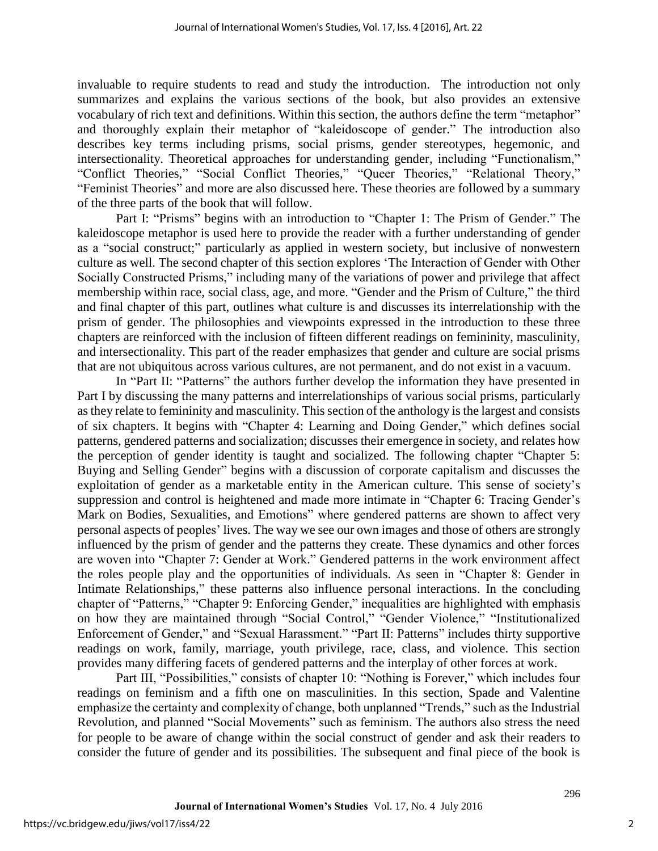invaluable to require students to read and study the introduction. The introduction not only summarizes and explains the various sections of the book, but also provides an extensive vocabulary of rich text and definitions. Within this section, the authors define the term "metaphor" and thoroughly explain their metaphor of "kaleidoscope of gender." The introduction also describes key terms including prisms, social prisms, gender stereotypes, hegemonic, and intersectionality. Theoretical approaches for understanding gender, including "Functionalism," "Conflict Theories," "Social Conflict Theories," "Queer Theories," "Relational Theory," "Feminist Theories" and more are also discussed here. These theories are followed by a summary of the three parts of the book that will follow.

Part I: "Prisms" begins with an introduction to "Chapter 1: The Prism of Gender." The kaleidoscope metaphor is used here to provide the reader with a further understanding of gender as a "social construct;" particularly as applied in western society, but inclusive of nonwestern culture as well. The second chapter of this section explores 'The Interaction of Gender with Other Socially Constructed Prisms," including many of the variations of power and privilege that affect membership within race, social class, age, and more. "Gender and the Prism of Culture," the third and final chapter of this part, outlines what culture is and discusses its interrelationship with the prism of gender. The philosophies and viewpoints expressed in the introduction to these three chapters are reinforced with the inclusion of fifteen different readings on femininity, masculinity, and intersectionality. This part of the reader emphasizes that gender and culture are social prisms that are not ubiquitous across various cultures, are not permanent, and do not exist in a vacuum.

In "Part II: "Patterns" the authors further develop the information they have presented in Part I by discussing the many patterns and interrelationships of various social prisms, particularly as they relate to femininity and masculinity. This section of the anthology is the largest and consists of six chapters. It begins with "Chapter 4: Learning and Doing Gender," which defines social patterns, gendered patterns and socialization; discusses their emergence in society, and relates how the perception of gender identity is taught and socialized. The following chapter "Chapter 5: Buying and Selling Gender" begins with a discussion of corporate capitalism and discusses the exploitation of gender as a marketable entity in the American culture. This sense of society's suppression and control is heightened and made more intimate in "Chapter 6: Tracing Gender's Mark on Bodies, Sexualities, and Emotions" where gendered patterns are shown to affect very personal aspects of peoples' lives. The way we see our own images and those of others are strongly influenced by the prism of gender and the patterns they create. These dynamics and other forces are woven into "Chapter 7: Gender at Work." Gendered patterns in the work environment affect the roles people play and the opportunities of individuals. As seen in "Chapter 8: Gender in Intimate Relationships," these patterns also influence personal interactions. In the concluding chapter of "Patterns," "Chapter 9: Enforcing Gender," inequalities are highlighted with emphasis on how they are maintained through "Social Control," "Gender Violence," "Institutionalized Enforcement of Gender," and "Sexual Harassment." "Part II: Patterns" includes thirty supportive readings on work, family, marriage, youth privilege, race, class, and violence. This section provides many differing facets of gendered patterns and the interplay of other forces at work.

Part III, "Possibilities," consists of chapter 10: "Nothing is Forever," which includes four readings on feminism and a fifth one on masculinities. In this section, Spade and Valentine emphasize the certainty and complexity of change, both unplanned "Trends," such as the Industrial Revolution, and planned "Social Movements" such as feminism. The authors also stress the need for people to be aware of change within the social construct of gender and ask their readers to consider the future of gender and its possibilities. The subsequent and final piece of the book is

296